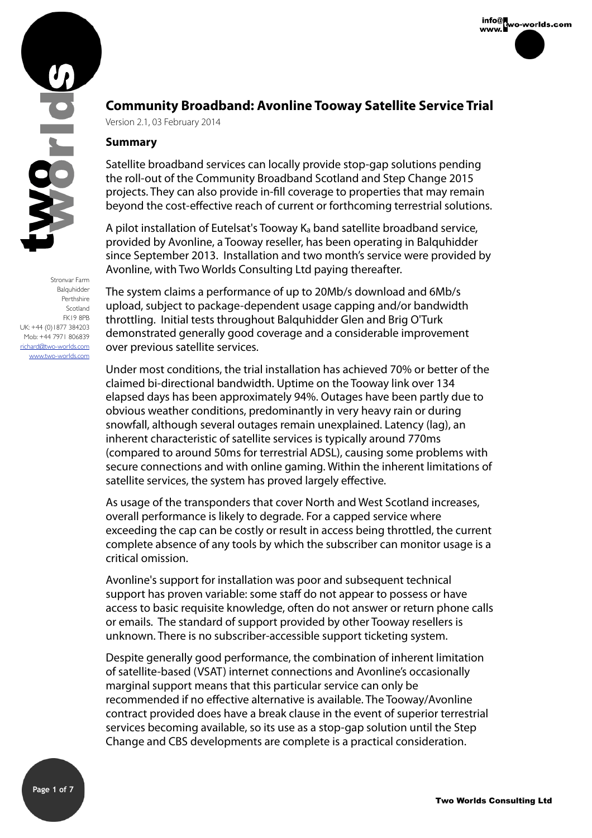

Stronvar Farm Balquhidder Perthshire Scotland FK19 8PB UK: +44 (0)1877 384203 Mob: +44 7971 806839 richard@two-worlds.com [www.two-worlds.com](http://www.two-worlds.com)

# **Community Broadband: Avonline Tooway Satellite Service Trial**

Version 2.1, 03 February 2014

### **Summary**

Satellite broadband services can locally provide stop-gap solutions pending the roll-out of the Community Broadband Scotland and Step Change 2015 projects. They can also provide in-fll coverage to properties that may remain beyond the cost-effective reach of current or forthcoming terrestrial solutions.

A pilot installation of Eutelsat's Tooway Ka band satellite broadband service, provided by Avonline, a Tooway reseller, has been operating in Balquhidder since September 2013. Installation and two month's service were provided by Avonline, with Two Worlds Consulting Ltd paying thereafter.

The system claims a performance of up to 20Mb/s download and 6Mb/s upload, subject to package-dependent usage capping and/or bandwidth throttling. Initial tests throughout Balquhidder Glen and Brig O'Turk demonstrated generally good coverage and a considerable improvement over previous satellite services.

Under most conditions, the trial installation has achieved 70% or better of the claimed bi-directional bandwidth. Uptime on the Tooway link over 134 elapsed days has been approximately 94%. Outages have been partly due to obvious weather conditions, predominantly in very heavy rain or during snowfall, although several outages remain unexplained. Latency (lag), an inherent characteristic of satellite services is typically around 770ms (compared to around 50ms for terrestrial ADSL), causing some problems with secure connections and with online gaming. Within the inherent limitations of satellite services, the system has proved largely effective.

As usage of the transponders that cover North and West Scotland increases, overall performance is likely to degrade. For a capped service where exceeding the cap can be costly or result in access being throttled, the current complete absence of any tools by which the subscriber can monitor usage is a critical omission.

Avonline's support for installation was poor and subsequent technical support has proven variable: some staff do not appear to possess or have access to basic requisite knowledge, often do not answer or return phone calls or emails. The standard of support provided by other Tooway resellers is unknown. There is no subscriber-accessible support ticketing system.

Despite generally good performance, the combination of inherent limitation of satellite-based (VSAT) internet connections and Avonline's occasionally marginal support means that this particular service can only be recommended if no effective alternative is available. The Tooway/Avonline contract provided does have a break clause in the event of superior terrestrial services becoming available, so its use as a stop-gap solution until the Step Change and CBS developments are complete is a practical consideration.



info@<br>www.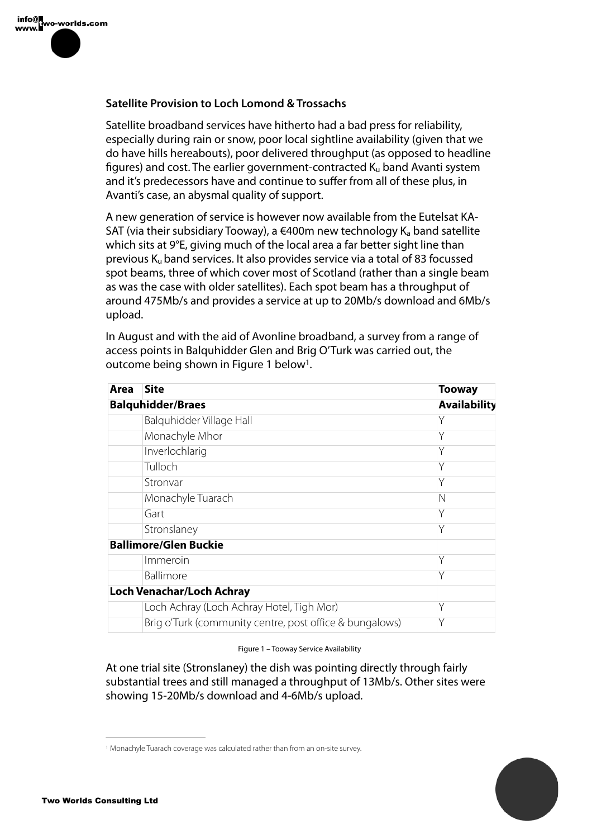### **Satellite Provision to Loch Lomond & Trossachs**

Satellite broadband services have hitherto had a bad press for reliability, especially during rain or snow, poor local sightline availability (given that we do have hills hereabouts), poor delivered throughput (as opposed to headline figures) and cost. The earlier government-contracted  $K_u$  band Avanti system and it's predecessors have and continue to suffer from all of these plus, in Avanti's case, an abysmal quality of support.

A new generation of service is however now available from the Eutelsat KA-SAT (via their subsidiary Tooway), a  $\in$ 400m new technology  $K_a$  band satellite which sits at 9°E, giving much of the local area a far better sight line than previous Ku band services. It also provides service via a total of 83 focussed spot beams, three of which cover most of Scotland (rather than a single beam as was the case with older satellites). Each spot beam has a throughput of around 475Mb/s and provides a service at up to 20Mb/s download and 6Mb/s upload.

In August and with the aid of Avonline broadband, a survey from a range of access points in Balquhidder Glen and Brig O'Turk was carried out, the outcome being shown in Figure 1 below<sup>1</sup>.

| Area                     | <b>Site</b>                                             | <b>Tooway</b>       |
|--------------------------|---------------------------------------------------------|---------------------|
| <b>Balquhidder/Braes</b> |                                                         | <b>Availability</b> |
|                          | Balquhidder Village Hall                                | Υ                   |
|                          | Monachyle Mhor                                          | Υ                   |
|                          | Inverlochlarig                                          | Y                   |
|                          | Tulloch                                                 | Y                   |
|                          | Stronvar                                                | Υ                   |
|                          | Monachyle Tuarach                                       | N                   |
|                          | Gart                                                    | Y                   |
|                          | Stronslaney                                             | Υ                   |
|                          | <b>Ballimore/Glen Buckie</b>                            |                     |
|                          | Immeroin                                                | Υ                   |
|                          | <b>Ballimore</b>                                        | Y                   |
|                          | <b>Loch Venachar/Loch Achray</b>                        |                     |
|                          | Loch Achray (Loch Achray Hotel, Tigh Mor)               | Y                   |
|                          | Brig o'Turk (community centre, post office & bungalows) | Y                   |

#### Figure 1 – Tooway Service Availability

At one trial site (Stronslaney) the dish was pointing directly through fairly substantial trees and still managed a throughput of 13Mb/s. Other sites were showing 15-20Mb/s download and 4-6Mb/s upload.



<sup>&</sup>lt;sup>1</sup> Monachyle Tuarach coverage was calculated rather than from an on-site survey.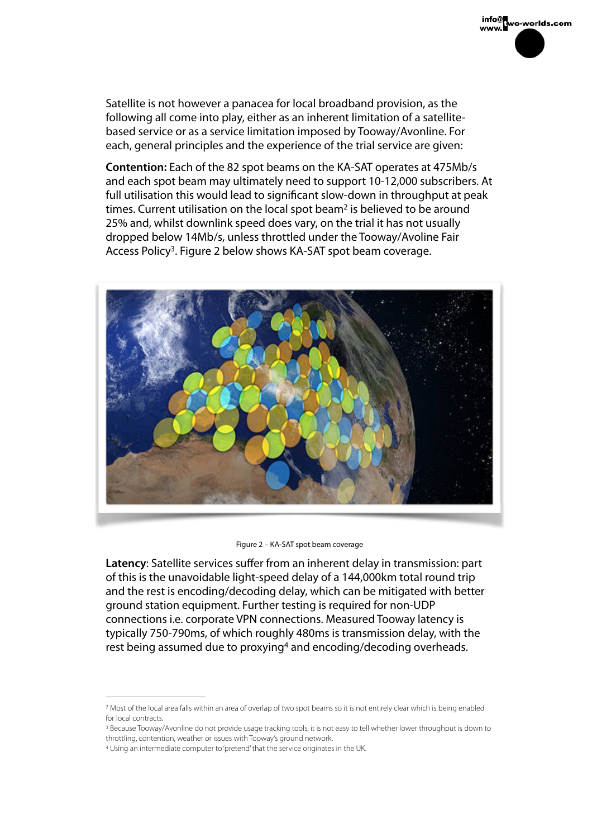info@<br>www.wo-worlds.com

following all come into play, either as an inherent limitation of a satellitebased service or as a service limitation imposed by Tooway/Avonline. For each, general principles and the experience of the trial service are given:

**Contention:** Each of the 82 spot beams on the KA-SAT operates at 475Mb/s and each spot beam may ultimately need to support 10-12,000 subscribers. At full utilisation this would lead to signifcant slow-down in throughput at peak times. Current utilisation on the local spot beam<sup>2</sup> is believed to be around 25% and, whilst downlink speed does vary, on the trial it has not usually dropped below 14Mb/s, unless throttled under the Tooway/Avoline Fair Access Policy<sup>3</sup>. Figure 2 below shows KA-SAT spot beam coverage.



Figure 2 – KA-SAT spot beam coverage

**Latency**: Satellite services suffer from an inherent delay in transmission: part of this is the unavoidable light-speed delay of a 144,000km total round trip and the rest is encoding/decoding delay, which can be mitigated with better ground station equipment. Further testing is required for non-UDP connections i.e. corporate VPN connections. Measured Tooway latency is typically 750-790ms, of which roughly 480ms is transmission delay, with the rest being assumed due to proxying<sup>4</sup> and encoding/decoding overheads.

<sup>&</sup>lt;sup>2</sup> Most of the local area falls within an area of overlap of two spot beams so it is not entirely clear which is being enabled for local contracts.

<sup>&</sup>lt;sup>3</sup> Because Tooway/Avonline do not provide usage tracking tools, it is not easy to tell whether lower throughput is down to throttling, contention, weather or issues with Tooway's ground network.

Using an intermediate computer to 'pretend' that the service originates in the UK. <sup>4</sup>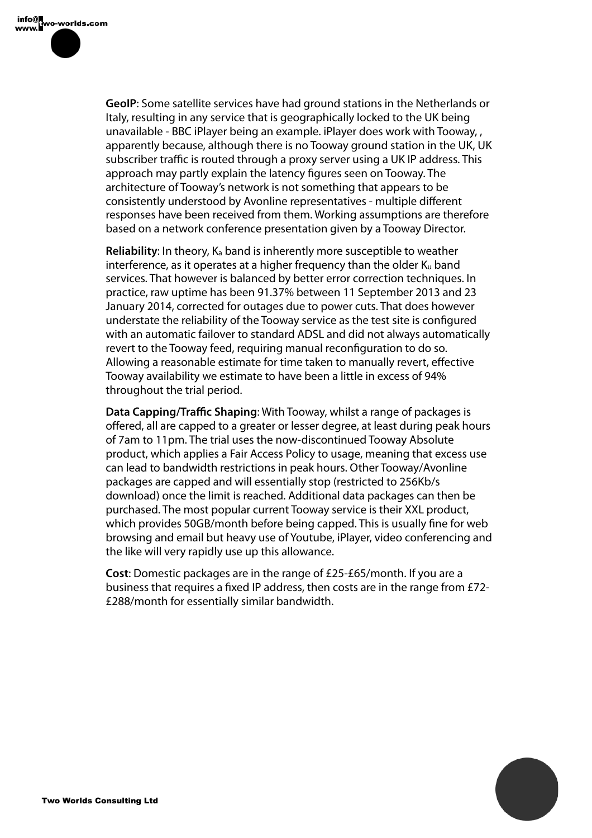**GeoIP**: Some satellite services have had ground stations in the Netherlands or Italy, resulting in any service that is geographically locked to the UK being unavailable - BBC iPlayer being an example. iPlayer does work with Tooway, , apparently because, although there is no Tooway ground station in the UK, UK subscriber traffic is routed through a proxy server using a UK IP address. This approach may partly explain the latency figures seen on Tooway. The architecture of Tooway's network is not something that appears to be consistently understood by Avonline representatives - multiple different responses have been received from them. Working assumptions are therefore based on a network conference presentation given by a Tooway Director.

**Reliability:** In theory, K<sub>a</sub> band is inherently more susceptible to weather interference, as it operates at a higher frequency than the older  $K_u$  band services. That however is balanced by better error correction techniques. In practice, raw uptime has been 91.37% between 11 September 2013 and 23 January 2014, corrected for outages due to power cuts. That does however understate the reliability of the Tooway service as the test site is confgured with an automatic failover to standard ADSL and did not always automatically revert to the Tooway feed, requiring manual reconfguration to do so. Allowing a reasonable estimate for time taken to manually revert, effective Tooway availability we estimate to have been a little in excess of 94% throughout the trial period.

**Data Capping/Traffic Shaping**: With Tooway, whilst a range of packages is offered, all are capped to a greater or lesser degree, at least during peak hours of 7am to 11pm. The trial uses the now-discontinued Tooway Absolute product, which applies a Fair Access Policy to usage, meaning that excess use can lead to bandwidth restrictions in peak hours. Other Tooway/Avonline packages are capped and will essentially stop (restricted to 256Kb/s download) once the limit is reached. Additional data packages can then be purchased. The most popular current Tooway service is their XXL product, which provides 50GB/month before being capped. This is usually fne for web browsing and email but heavy use of Youtube, iPlayer, video conferencing and the like will very rapidly use up this allowance.

**Cost**: Domestic packages are in the range of £25-£65/month. If you are a business that requires a fxed IP address, then costs are in the range from £72- £288/month for essentially similar bandwidth.

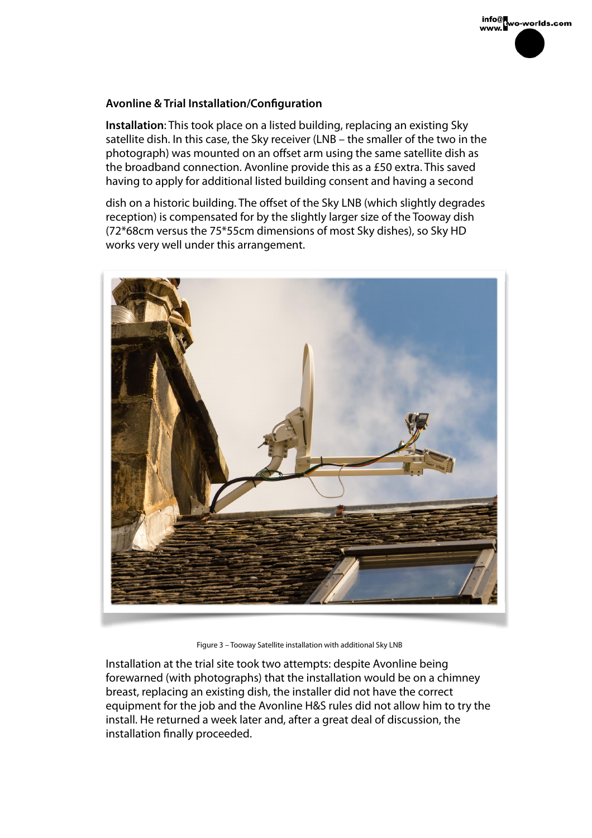## **Avonline & Trial Installation/Confguration**

**Installation**: This took place on a listed building, replacing an existing Sky satellite dish. In this case, the Sky receiver (LNB – the smaller of the two in the photograph) was mounted on an offset arm using the same satellite dish as the broadband connection. Avonline provide this as a £50 extra. This saved having to apply for additional listed building consent and having a second

info@k<br>www.

dish on a historic building. The offset of the Sky LNB (which slightly degrades reception) is compensated for by the slightly larger size of the Tooway dish (72\*68cm versus the 75\*55cm dimensions of most Sky dishes), so Sky HD works very well under this arrangement.



Figure 3 – Tooway Satellite installation with additional Sky LNB

Installation at the trial site took two attempts: despite Avonline being forewarned (with photographs) that the installation would be on a chimney breast, replacing an existing dish, the installer did not have the correct equipment for the job and the Avonline H&S rules did not allow him to try the install. He returned a week later and, after a great deal of discussion, the installation fnally proceeded.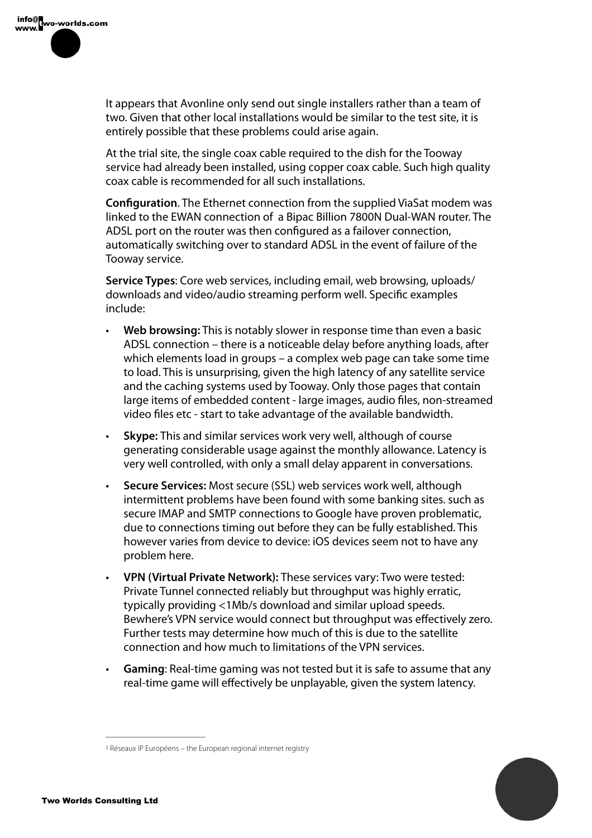

It appears that Avonline only send out single installers rather than a team of two. Given that other local installations would be similar to the test site, it is entirely possible that these problems could arise again.

At the trial site, the single coax cable required to the dish for the Tooway service had already been installed, using copper coax cable. Such high quality coax cable is recommended for all such installations.

**Configuration.** The Ethernet connection from the supplied ViaSat modem was linked to the EWAN connection of a Bipac Billion 7800N Dual-WAN router. The ADSL port on the router was then confgured as a failover connection, automatically switching over to standard ADSL in the event of failure of the Tooway service.

**Service Types**: Core web services, including email, web browsing, uploads/ downloads and video/audio streaming perform well. Specifc examples include:

- **Web browsing:** This is notably slower in response time than even a basic ADSL connection – there is a noticeable delay before anything loads, after which elements load in groups – a complex web page can take some time to load. This is unsurprising, given the high latency of any satellite service and the caching systems used by Tooway. Only those pages that contain large items of embedded content - large images, audio fles, non-streamed video fles etc - start to take advantage of the available bandwidth.
- **Skype:** This and similar services work very well, although of course generating considerable usage against the monthly allowance. Latency is very well controlled, with only a small delay apparent in conversations.
- **Secure Services:** Most secure (SSL) web services work well, although intermittent problems have been found with some banking sites. such as secure IMAP and SMTP connections to Google have proven problematic, due to connections timing out before they can be fully established. This however varies from device to device: iOS devices seem not to have any problem here.
- **VPN (Virtual Private Network):** These services vary: Two were tested: Private Tunnel connected reliably but throughput was highly erratic, typically providing <1Mb/s download and similar upload speeds. Bewhere's VPN service would connect but throughput was effectively zero. Further tests may determine how much of this is due to the satellite connection and how much to limitations of the VPN services.
- **Gaming**: Real-time gaming was not tested but it is safe to assume that any real-time game will effectively be unplayable, given the system latency.



<sup>&</sup>lt;sup>5</sup> Réseaux IP Européens – the European regional internet registry